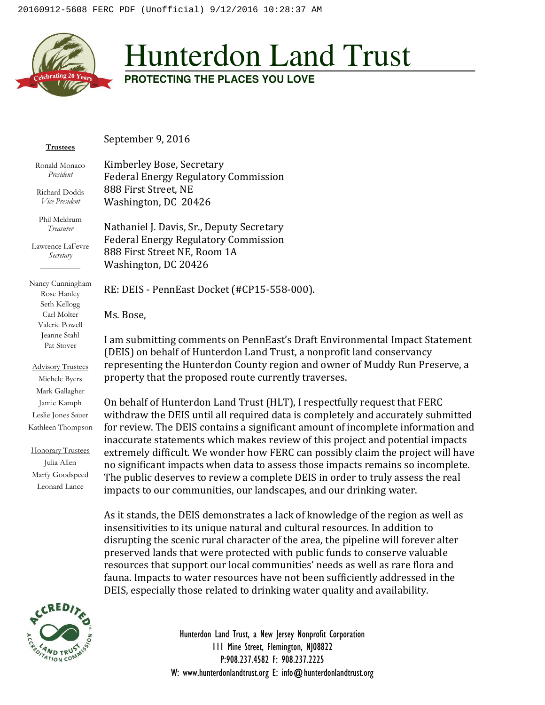

## Hunterdon Land Trust

**PROTECTING THE PLACES YOU LOVE** 

**Trustees**

September 9, 2016

Kimberley Bose, Secretary

Ronald Monaco *President* 

Richard Dodds *Vice President* 

Phil Meldrum *Treasurer* 

Lawrence LaFevre *Secretary*  $\overline{\phantom{a}}$ 

Nancy Cunningham Rose Hanley Seth Kellogg Carl Molter Valerie Powell Jeanne Stahl Pat Stover

Advisory Trustees Michele Byers Mark Gallagher Jamie Kamph Leslie Jones Sauer Kathleen Thompson

Honorary Trustees Julia Allen Marfy Goodspeed Leonard Lance

Federal Energy Regulatory Commission 888 First Street, NE Washington, DC 20426

Nathaniel J. Davis, Sr., Deputy Secretary Federal Energy Regulatory Commission 888 First Street NE, Room 1A Washington, DC 20426

RE: DEIS - PennEast Docket (#CP15-558-000).

Ms. Bose,

I am submitting comments on PennEast's Draft Environmental Impact Statement (DEIS) on behalf of Hunterdon Land Trust, a nonprofit land conservancy representing the Hunterdon County region and owner of Muddy Run Preserve, a property that the proposed route currently traverses.

On behalf of Hunterdon Land Trust (HLT), I respectfully request that FERC withdraw the DEIS until all required data is completely and accurately submitted for review. The DEIS contains a significant amount of incomplete information and inaccurate statements which makes review of this project and potential impacts extremely difficult. We wonder how FERC can possibly claim the project will have no significant impacts when data to assess those impacts remains so incomplete. The public deserves to review a complete DEIS in order to truly assess the real impacts to our communities, our landscapes, and our drinking water.

As it stands, the DEIS demonstrates a lack of knowledge of the region as well as insensitivities to its unique natural and cultural resources. In addition to disrupting the scenic rural character of the area, the pipeline will forever alter preserved lands that were protected with public funds to conserve valuable resources that support our local communities' needs as well as rare flora and fauna. Impacts to water resources have not been sufficiently addressed in the DEIS, especially those related to drinking water quality and availability.



Hunterdon Land Trust, a New Jersey Nonprofit Corporation 111 Mine Street, Flemington, NJ08822 P:908.237.4582 F: 908.237.2225 W: www.hunterdonlandtrust.org E: info@hunterdonlandtrust.org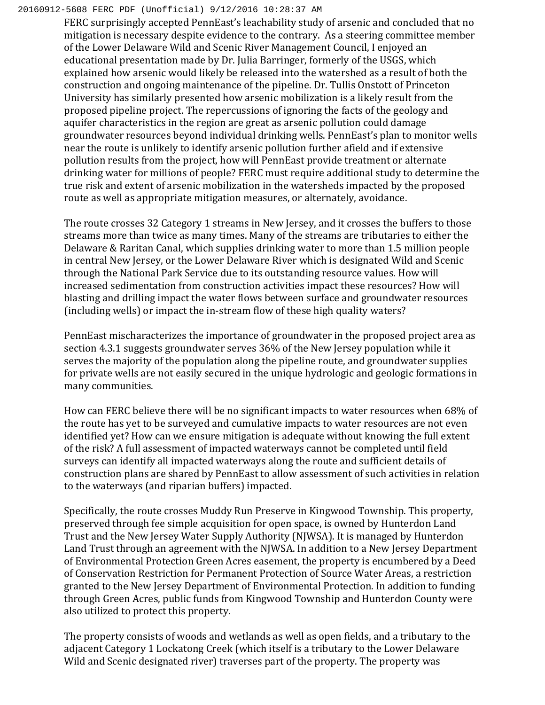## 20160912-5608 FERC PDF (Unofficial) 9/12/2016 10:28:37 AM

FERC surprisingly accepted PennEast's leachability study of arsenic and concluded that no mitigation is necessary despite evidence to the contrary. As a steering committee member of the Lower Delaware Wild and Scenic River Management Council, I enjoyed an educational presentation made by Dr. Julia Barringer, formerly of the USGS, which explained how arsenic would likely be released into the watershed as a result of both the construction and ongoing maintenance of the pipeline. Dr. Tullis Onstott of Princeton University has similarly presented how arsenic mobilization is a likely result from the proposed pipeline project. The repercussions of ignoring the facts of the geology and aquifer characteristics in the region are great as arsenic pollution could damage groundwater resources beyond individual drinking wells. PennEast's plan to monitor wells near the route is unlikely to identify arsenic pollution further afield and if extensive pollution results from the project, how will PennEast provide treatment or alternate drinking water for millions of people? FERC must require additional study to determine the true risk and extent of arsenic mobilization in the watersheds impacted by the proposed route as well as appropriate mitigation measures, or alternately, avoidance.

The route crosses 32 Category 1 streams in New Jersey, and it crosses the buffers to those streams more than twice as many times. Many of the streams are tributaries to either the Delaware & Raritan Canal, which supplies drinking water to more than 1.5 million people in central New Jersey, or the Lower Delaware River which is designated Wild and Scenic through the National Park Service due to its outstanding resource values. How will increased sedimentation from construction activities impact these resources? How will blasting and drilling impact the water flows between surface and groundwater resources (including wells) or impact the in-stream flow of these high quality waters?

PennEast mischaracterizes the importance of groundwater in the proposed project area as section 4.3.1 suggests groundwater serves 36% of the New Jersey population while it serves the majority of the population along the pipeline route, and groundwater supplies for private wells are not easily secured in the unique hydrologic and geologic formations in many communities.

How can FERC believe there will be no significant impacts to water resources when 68% of the route has yet to be surveyed and cumulative impacts to water resources are not even identified yet? How can we ensure mitigation is adequate without knowing the full extent of the risk? A full assessment of impacted waterways cannot be completed until field surveys can identify all impacted waterways along the route and sufficient details of construction plans are shared by PennEast to allow assessment of such activities in relation to the waterways (and riparian buffers) impacted.

Specifically, the route crosses Muddy Run Preserve in Kingwood Township. This property, preserved through fee simple acquisition for open space, is owned by Hunterdon Land Trust and the New Jersey Water Supply Authority (NJWSA). It is managed by Hunterdon Land Trust through an agreement with the NJWSA. In addition to a New Jersey Department of Environmental Protection Green Acres easement, the property is encumbered by a Deed of Conservation Restriction for Permanent Protection of Source Water Areas, a restriction granted to the New Jersey Department of Environmental Protection. In addition to funding through Green Acres, public funds from Kingwood Township and Hunterdon County were also utilized to protect this property.

The property consists of woods and wetlands as well as open fields, and a tributary to the adjacent Category 1 Lockatong Creek (which itself is a tributary to the Lower Delaware Wild and Scenic designated river) traverses part of the property. The property was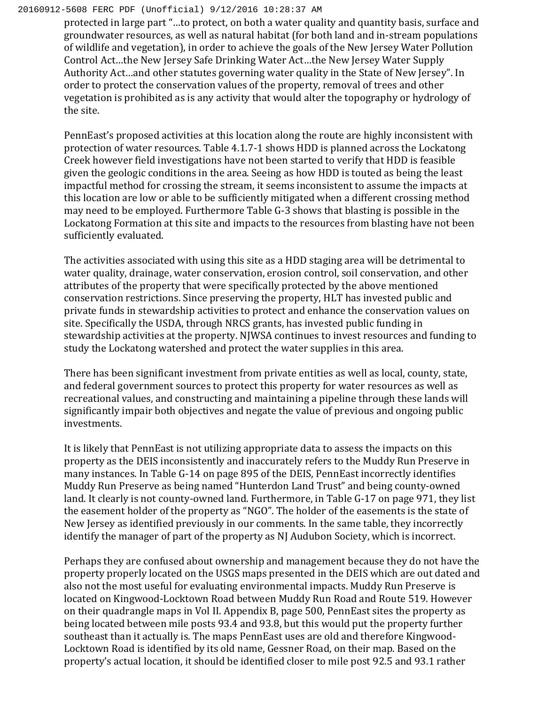## 20160912-5608 FERC PDF (Unofficial) 9/12/2016 10:28:37 AM

protected in large part "…to protect, on both a water quality and quantity basis, surface and groundwater resources, as well as natural habitat (for both land and in-stream populations of wildlife and vegetation), in order to achieve the goals of the New Jersey Water Pollution Control Act…the New Jersey Safe Drinking Water Act…the New Jersey Water Supply Authority Act…and other statutes governing water quality in the State of New Jersey". In order to protect the conservation values of the property, removal of trees and other vegetation is prohibited as is any activity that would alter the topography or hydrology of the site.

PennEast's proposed activities at this location along the route are highly inconsistent with protection of water resources. Table 4.1.7-1 shows HDD is planned across the Lockatong Creek however field investigations have not been started to verify that HDD is feasible given the geologic conditions in the area. Seeing as how HDD is touted as being the least impactful method for crossing the stream, it seems inconsistent to assume the impacts at this location are low or able to be sufficiently mitigated when a different crossing method may need to be employed. Furthermore Table G-3 shows that blasting is possible in the Lockatong Formation at this site and impacts to the resources from blasting have not been sufficiently evaluated.

The activities associated with using this site as a HDD staging area will be detrimental to water quality, drainage, water conservation, erosion control, soil conservation, and other attributes of the property that were specifically protected by the above mentioned conservation restrictions. Since preserving the property, HLT has invested public and private funds in stewardship activities to protect and enhance the conservation values on site. Specifically the USDA, through NRCS grants, has invested public funding in stewardship activities at the property. NJWSA continues to invest resources and funding to study the Lockatong watershed and protect the water supplies in this area.

There has been significant investment from private entities as well as local, county, state, and federal government sources to protect this property for water resources as well as recreational values, and constructing and maintaining a pipeline through these lands will significantly impair both objectives and negate the value of previous and ongoing public investments.

It is likely that PennEast is not utilizing appropriate data to assess the impacts on this property as the DEIS inconsistently and inaccurately refers to the Muddy Run Preserve in many instances. In Table G-14 on page 895 of the DEIS, PennEast incorrectly identifies Muddy Run Preserve as being named "Hunterdon Land Trust" and being county-owned land. It clearly is not county-owned land. Furthermore, in Table G-17 on page 971, they list the easement holder of the property as "NGO". The holder of the easements is the state of New Jersey as identified previously in our comments. In the same table, they incorrectly identify the manager of part of the property as NJ Audubon Society, which is incorrect.

Perhaps they are confused about ownership and management because they do not have the property properly located on the USGS maps presented in the DEIS which are out dated and also not the most useful for evaluating environmental impacts. Muddy Run Preserve is located on Kingwood-Locktown Road between Muddy Run Road and Route 519. However on their quadrangle maps in Vol II. Appendix B, page 500, PennEast sites the property as being located between mile posts 93.4 and 93.8, but this would put the property further southeast than it actually is. The maps PennEast uses are old and therefore Kingwood-Locktown Road is identified by its old name, Gessner Road, on their map. Based on the property's actual location, it should be identified closer to mile post 92.5 and 93.1 rather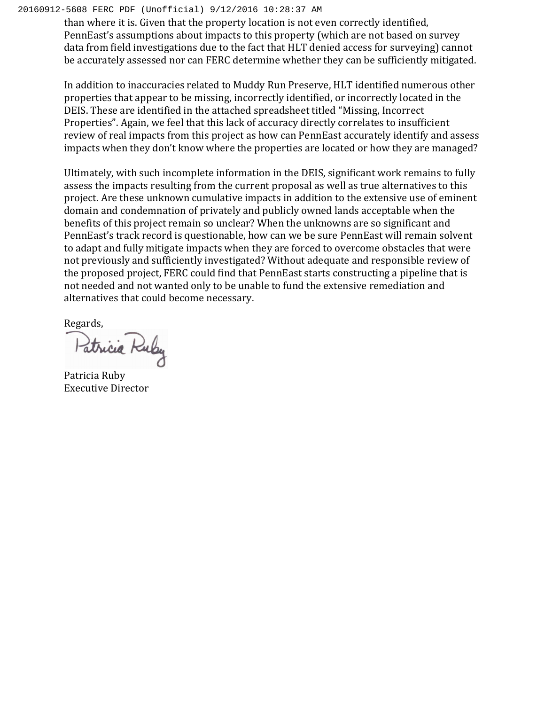## 20160912-5608 FERC PDF (Unofficial) 9/12/2016 10:28:37 AM

than where it is. Given that the property location is not even correctly identified, PennEast's assumptions about impacts to this property (which are not based on survey data from field investigations due to the fact that HLT denied access for surveying) cannot be accurately assessed nor can FERC determine whether they can be sufficiently mitigated.

In addition to inaccuracies related to Muddy Run Preserve, HLT identified numerous other properties that appear to be missing, incorrectly identified, or incorrectly located in the DEIS. These are identified in the attached spreadsheet titled "Missing, Incorrect Properties". Again, we feel that this lack of accuracy directly correlates to insufficient review of real impacts from this project as how can PennEast accurately identify and assess impacts when they don't know where the properties are located or how they are managed?

Ultimately, with such incomplete information in the DEIS, significant work remains to fully assess the impacts resulting from the current proposal as well as true alternatives to this project. Are these unknown cumulative impacts in addition to the extensive use of eminent domain and condemnation of privately and publicly owned lands acceptable when the benefits of this project remain so unclear? When the unknowns are so significant and PennEast's track record is questionable, how can we be sure PennEast will remain solvent to adapt and fully mitigate impacts when they are forced to overcome obstacles that were not previously and sufficiently investigated? Without adequate and responsible review of the proposed project, FERC could find that PennEast starts constructing a pipeline that is not needed and not wanted only to be unable to fund the extensive remediation and alternatives that could become necessary.

Regards,

Patricia Ruby

Patricia Ruby Executive Director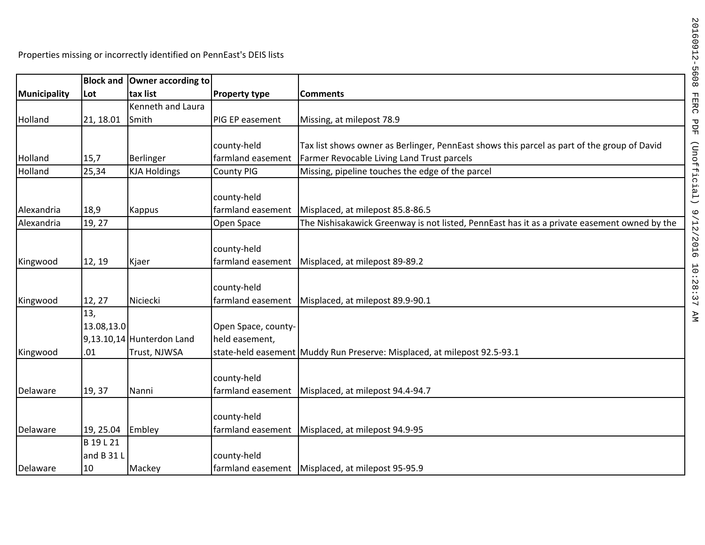|              | <b>Block and</b> | Owner according to          |                      |                                                                                              |
|--------------|------------------|-----------------------------|----------------------|----------------------------------------------------------------------------------------------|
| Municipality | Lot              | tax list                    | <b>Property type</b> | <b>Comments</b>                                                                              |
|              |                  | Kenneth and Laura           |                      |                                                                                              |
| Holland      | 21, 18.01        | Smith                       | PIG EP easement      | Missing, at milepost 78.9                                                                    |
|              |                  |                             |                      |                                                                                              |
|              |                  |                             | county-held          | Tax list shows owner as Berlinger, PennEast shows this parcel as part of the group of David  |
| Holland      | 15,7             | Berlinger                   | farmland easement    | Farmer Revocable Living Land Trust parcels                                                   |
| Holland      | 25,34            | <b>KJA Holdings</b>         | <b>County PIG</b>    | Missing, pipeline touches the edge of the parcel                                             |
|              |                  |                             |                      |                                                                                              |
|              |                  |                             | county-held          |                                                                                              |
| Alexandria   | 18,9             | Kappus                      | farmland easement    | Misplaced, at milepost 85.8-86.5                                                             |
| Alexandria   | 19, 27           |                             | Open Space           | The Nishisakawick Greenway is not listed, PennEast has it as a private easement owned by the |
|              |                  |                             |                      |                                                                                              |
|              |                  |                             | county-held          |                                                                                              |
| Kingwood     | 12, 19           | Kjaer                       | farmland easement    | Misplaced, at milepost 89-89.2                                                               |
|              |                  |                             |                      |                                                                                              |
|              |                  |                             | county-held          |                                                                                              |
| Kingwood     | 12, 27           | Niciecki                    | farmland easement    | Misplaced, at milepost 89.9-90.1                                                             |
|              | 13,              |                             |                      |                                                                                              |
|              | 13.08,13.0       |                             | Open Space, county-  |                                                                                              |
|              |                  | $9,13.10,14$ Hunterdon Land | held easement,       |                                                                                              |
| Kingwood     | .01              | Trust, NJWSA                |                      | state-held easement Muddy Run Preserve: Misplaced, at milepost 92.5-93.1                     |
|              |                  |                             |                      |                                                                                              |
|              |                  |                             | county-held          |                                                                                              |
| Delaware     | 19, 37           | Nanni                       | farmland easement    | Misplaced, at milepost 94.4-94.7                                                             |
|              |                  |                             |                      |                                                                                              |
|              |                  |                             | county-held          |                                                                                              |
| Delaware     | 19, 25.04        | Embley                      | farmland easement    | Misplaced, at milepost 94.9-95                                                               |
|              | B 19 L 21        |                             |                      |                                                                                              |
|              | and B 31 L       |                             | county-held          |                                                                                              |
| Delaware     | 10               | Mackey                      |                      | farmland easement   Misplaced, at milepost 95-95.9                                           |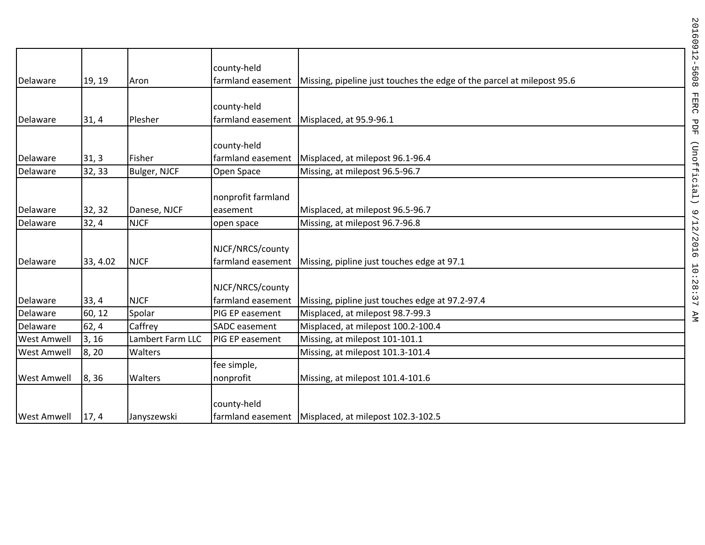|                    |          |                  | county-held                           |                                                                        |
|--------------------|----------|------------------|---------------------------------------|------------------------------------------------------------------------|
| Delaware           | 19, 19   | Aron             | farmland easement                     | Missing, pipeline just touches the edge of the parcel at milepost 95.6 |
|                    |          |                  | county-held                           |                                                                        |
| Delaware           | 31,4     | Plesher          | farmland easement                     | Misplaced, at 95.9-96.1                                                |
| Delaware           | 31, 3    | Fisher           | county-held<br>farmland easement      | Misplaced, at milepost 96.1-96.4                                       |
| Delaware           | 32, 33   | Bulger, NJCF     | Open Space                            | Missing, at milepost 96.5-96.7                                         |
| Delaware           | 32, 32   | Danese, NJCF     | nonprofit farmland<br>easement        | Misplaced, at milepost 96.5-96.7                                       |
| Delaware           | 32,4     | <b>NJCF</b>      | open space                            | Missing, at milepost 96.7-96.8                                         |
| Delaware           | 33, 4.02 | <b>NJCF</b>      | NJCF/NRCS/county<br>farmland easement | Missing, pipline just touches edge at 97.1                             |
| Delaware           | 33, 4    | <b>NJCF</b>      | NJCF/NRCS/county<br>farmland easement | Missing, pipline just touches edge at 97.2-97.4                        |
| Delaware           | 60, 12   | Spolar           | PIG EP easement                       | Misplaced, at milepost 98.7-99.3                                       |
| Delaware           | 62, 4    | Caffrey          | <b>SADC</b> easement                  | Misplaced, at milepost 100.2-100.4                                     |
| <b>West Amwell</b> | 3, 16    | Lambert Farm LLC | PIG EP easement                       | Missing, at milepost 101-101.1                                         |
| <b>West Amwell</b> | 8, 20    | Walters          |                                       | Missing, at milepost 101.3-101.4                                       |
| <b>West Amwell</b> | 8, 36    | <b>Walters</b>   | fee simple,<br>nonprofit              | Missing, at milepost 101.4-101.6                                       |
| <b>West Amwell</b> | 17, 4    | Janyszewski      | county-held                           | farmland easement   Misplaced, at milepost 102.3-102.5                 |